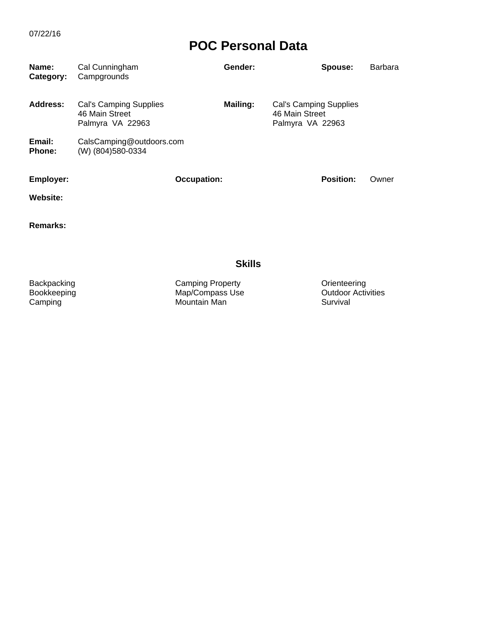| Name:<br>Category: | Cal Cunningham<br>Campgrounds                                | Gender:            | Spouse:                                                      | <b>Barbara</b> |
|--------------------|--------------------------------------------------------------|--------------------|--------------------------------------------------------------|----------------|
| Address:           | Cal's Camping Supplies<br>46 Main Street<br>Palmyra VA 22963 | <b>Mailing:</b>    | Cal's Camping Supplies<br>46 Main Street<br>Palmyra VA 22963 |                |
| Email:<br>Phone:   | CalsCamping@outdoors.com<br>(W) (804) 580-0334               |                    |                                                              |                |
| <b>Employer:</b>   |                                                              | <b>Occupation:</b> | <b>Position:</b>                                             | Owner          |
| Website:           |                                                              |                    |                                                              |                |
| Remarks:           |                                                              |                    |                                                              |                |
|                    |                                                              | <b>Skills</b>      |                                                              |                |

Backpacking Camping Property Orienteering Bookkeeping Map/Compass Use Outdoor Activities Backpacking Camping Property Camping Contentee<br>
Bookkeeping Map/Compass Use Camping Camping Mountain Man Survival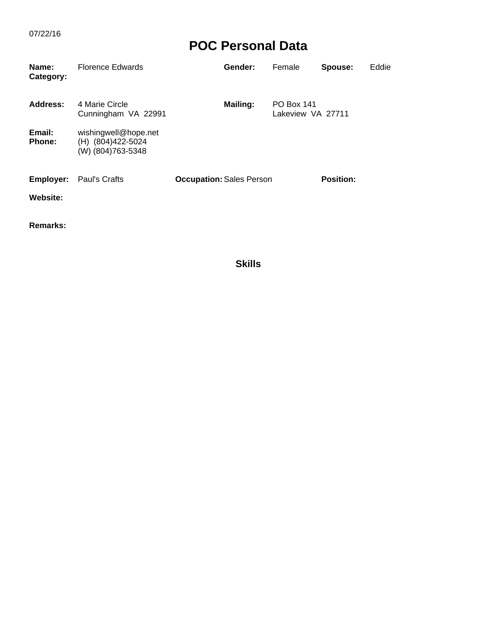| <b>Florence Edwards</b>                                         | Gender:         | Female | Spouse:                         | Eddie                                  |
|-----------------------------------------------------------------|-----------------|--------|---------------------------------|----------------------------------------|
| 4 Marie Circle<br>Cunningham VA 22991                           | <b>Mailing:</b> |        |                                 |                                        |
| wishingwell@hope.net<br>(H) (804) 422-5024<br>(W) (804)763-5348 |                 |        |                                 |                                        |
|                                                                 |                 |        | <b>Position:</b>                |                                        |
|                                                                 | Paul's Crafts   |        | <b>Occupation: Sales Person</b> | <b>PO Box 141</b><br>Lakeview VA 27711 |

**Remarks:**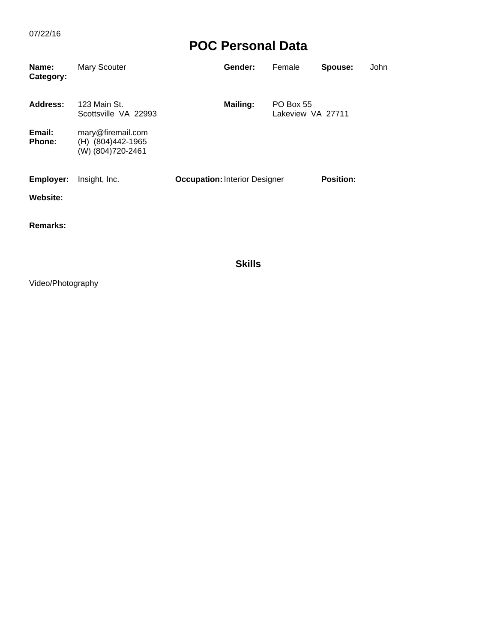| Name:<br>Category: | Mary Scouter                                                | Gender:                              | Female                         | Spouse:          | John |
|--------------------|-------------------------------------------------------------|--------------------------------------|--------------------------------|------------------|------|
| Address:           | 123 Main St.<br>Scottsville VA 22993                        | <b>Mailing:</b>                      | PO Box 55<br>Lakeview VA 27711 |                  |      |
| Email:<br>Phone:   | mary@firemail.com<br>(H) (804)442-1965<br>(W) (804)720-2461 |                                      |                                |                  |      |
| Employer:          | Insight, Inc.                                               | <b>Occupation: Interior Designer</b> |                                | <b>Position:</b> |      |
| <b>Website:</b>    |                                                             |                                      |                                |                  |      |
| <b>Remarks:</b>    |                                                             |                                      |                                |                  |      |

**Skills**

Video/Photography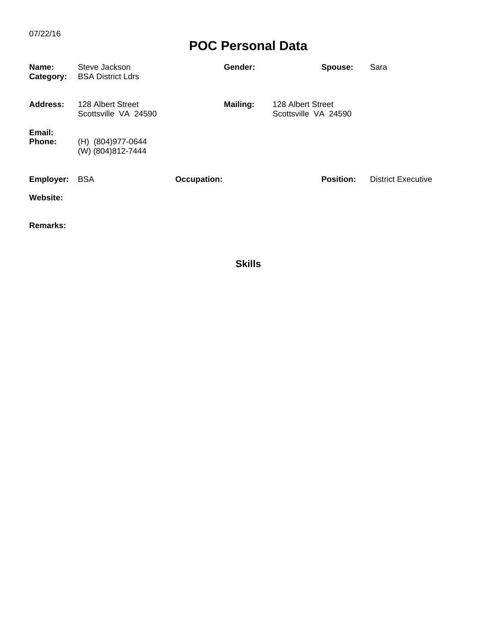| Name:<br>Category:      | Steve Jackson<br><b>BSA District Ldrs</b> | Gender:            | Spouse:                                   | Sara                      |
|-------------------------|-------------------------------------------|--------------------|-------------------------------------------|---------------------------|
| Address:                | 128 Albert Street<br>Scottsville VA 24590 | Mailing:           | 128 Albert Street<br>Scottsville VA 24590 |                           |
| Email:<br><b>Phone:</b> | (H) (804) 977-0644<br>(W) (804) 812-7444  |                    |                                           |                           |
| Employer:               | <b>BSA</b>                                | <b>Occupation:</b> | <b>Position:</b>                          | <b>District Executive</b> |
| Website:                |                                           |                    |                                           |                           |

**Remarks:**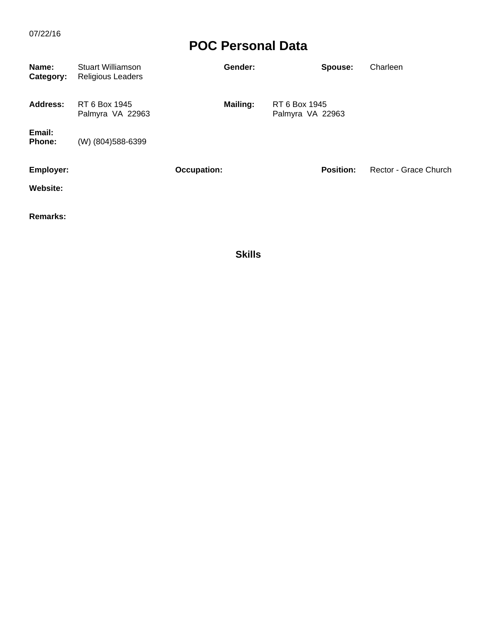| Name:<br>Category: | <b>Stuart Williamson</b><br><b>Religious Leaders</b> | Gender:            | Spouse:                           | Charleen              |
|--------------------|------------------------------------------------------|--------------------|-----------------------------------|-----------------------|
| Address:           | RT 6 Box 1945<br>Palmyra VA 22963                    | <b>Mailing:</b>    | RT 6 Box 1945<br>Palmyra VA 22963 |                       |
| Email:<br>Phone:   | (W) (804) 588-6399                                   |                    |                                   |                       |
| Employer:          |                                                      | <b>Occupation:</b> | <b>Position:</b>                  | Rector - Grace Church |
| Website:           |                                                      |                    |                                   |                       |
| <b>Remarks:</b>    |                                                      |                    |                                   |                       |